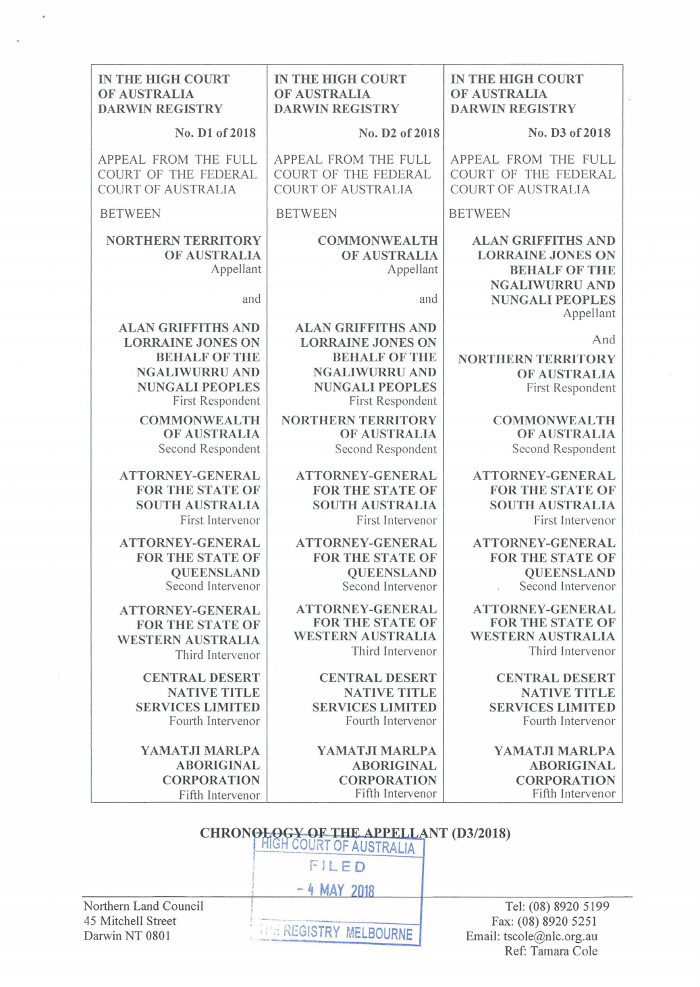| IN THE HIGH COURT<br>OF AUSTRALIA<br><b>DARWIN REGISTRY</b>                                                                                          | IN THE HIGH COURT<br>OF AUSTRALIA<br><b>DARWIN REGISTRY</b>                                                                                          | IN THE HIGH COURT<br>OF AUSTRALIA<br><b>DARWIN REGISTRY</b>                                                                                   |
|------------------------------------------------------------------------------------------------------------------------------------------------------|------------------------------------------------------------------------------------------------------------------------------------------------------|-----------------------------------------------------------------------------------------------------------------------------------------------|
| No. D1 of 2018                                                                                                                                       | No. D2 of 2018                                                                                                                                       | No. D3 of 2018                                                                                                                                |
| APPEAL FROM THE FULL<br>COURT OF THE FEDERAL<br><b>COURT OF AUSTRALIA</b>                                                                            | APPEAL FROM THE FULL<br>COURT OF THE FEDERAL<br><b>COURT OF AUSTRALIA</b>                                                                            | APPEAL FROM THE FULL<br>COURT OF THE FEDERAL<br><b>COURT OF AUSTRALIA</b>                                                                     |
| <b>BETWEEN</b>                                                                                                                                       | <b>BETWEEN</b>                                                                                                                                       | <b>BETWEEN</b>                                                                                                                                |
| <b>NORTHERN TERRITORY</b><br>OF AUSTRALIA<br>Appellant<br>and                                                                                        | <b>COMMONWEALTH</b><br>OF AUSTRALIA<br>Appellant<br>and                                                                                              | <b>ALAN GRIFFITHS AND</b><br><b>LORRAINE JONES ON</b><br><b>BEHALF OF THE</b><br><b>NGALIWURRU AND</b><br><b>NUNGALI PEOPLES</b><br>Appellant |
| <b>ALAN GRIFFITHS AND</b><br><b>LORRAINE JONES ON</b><br><b>BEHALF OF THE</b><br><b>NGALIWURRU AND</b><br><b>NUNGALI PEOPLES</b><br>First Respondent | <b>ALAN GRIFFITHS AND</b><br><b>LORRAINE JONES ON</b><br><b>BEHALF OF THE</b><br><b>NGALIWURRU AND</b><br><b>NUNGALI PEOPLES</b><br>First Respondent | And<br><b>NORTHERN TERRITORY</b><br>OF AUSTRALIA<br>First Respondent                                                                          |
| <b>COMMONWEALTH</b><br>OF AUSTRALIA<br>Second Respondent                                                                                             | <b>NORTHERN TERRITORY</b><br>OF AUSTRALIA<br>Second Respondent                                                                                       | <b>COMMONWEALTH</b><br>OF AUSTRALIA<br>Second Respondent                                                                                      |
| ATTORNEY-GENERAL<br><b>FOR THE STATE OF</b><br><b>SOUTH AUSTRALIA</b><br>First Intervenor                                                            | ATTORNEY-GENERAL<br><b>FOR THE STATE OF</b><br><b>SOUTH AUSTRALIA</b><br>First Intervenor                                                            | ATTORNEY-GENERAL<br><b>FOR THE STATE OF</b><br><b>SOUTH AUSTRALIA</b><br>First Intervenor                                                     |
| <b>ATTORNEY-GENERAL</b><br>FOR THE STATE OF<br><b>QUEENSLAND</b><br>Second Intervenor                                                                | ATTORNEY-GENERAL<br><b>FOR THE STATE OF</b><br><b>OUEENSLAND</b><br>Second Intervenor                                                                | ATTORNEY-GENERAL<br>FOR THE STATE OF<br><b>QUEENSLAND</b><br>Second Intervenor                                                                |
| <b>ATTORNEY-GENERAL</b><br><b>FOR THE STATE OF</b><br><b>WESTERN AUSTRALIA</b>                                                                       | <b>ATTORNEY-GENERAL</b><br><b>FOR THE STATE OF</b><br><b>WESTERN AUSTRALIA</b><br>Third Intervenor                                                   | ATTORNEY-GENERAL<br><b>FOR THE STATE OF</b><br><b>WESTERN AUSTRALIA</b><br>Third Intervenor                                                   |
| Third Intervenor<br><b>CENTRAL DESERT</b><br><b>NATIVE TITLE</b><br><b>SERVICES LIMITED</b><br>Fourth Intervenor                                     | <b>CENTRAL DESERT</b><br><b>NATIVE TITLE</b><br><b>SERVICES LIMITED</b><br>Fourth Intervenor                                                         | <b>CENTRAL DESERT</b><br><b>NATIVE TITLE</b><br><b>SERVICES LIMITED</b><br>Fourth Intervenor                                                  |
| YAMATJI MARLPA<br><b>ABORIGINAL</b><br><b>CORPORATION</b><br>Fifth Intervenor                                                                        | YAMATJI MARLPA<br><b>ABORIGINAL</b><br><b>CORPORATION</b><br>Fifth Intervenor                                                                        | YAMATJI MARLPA<br><b>ABORIGINAL</b><br><b>CORPORATION</b><br>Fifth Intervenor                                                                 |
|                                                                                                                                                      | <b>CHRONOLOGY OF THE APPELLANT (D3/2018)</b><br>HIGH COURT OF AUSTRALIA<br>FILED<br>$-4$ MAY 2018                                                    |                                                                                                                                               |
| <b>Northern Land Council</b><br>5 Mitchell Street                                                                                                    |                                                                                                                                                      | Tel: (08) 8920 5199<br>Fax: (08) 8920 5251                                                                                                    |

Northern Land Council 45 Mitchell Street Darwin NT 0801

i.

. :.. REGISTRY MELBOURNE

 $I$ el: (08 Fax: (08) 8920 5251 Email: tscole@nlc.org.au Ref: Tamara Cole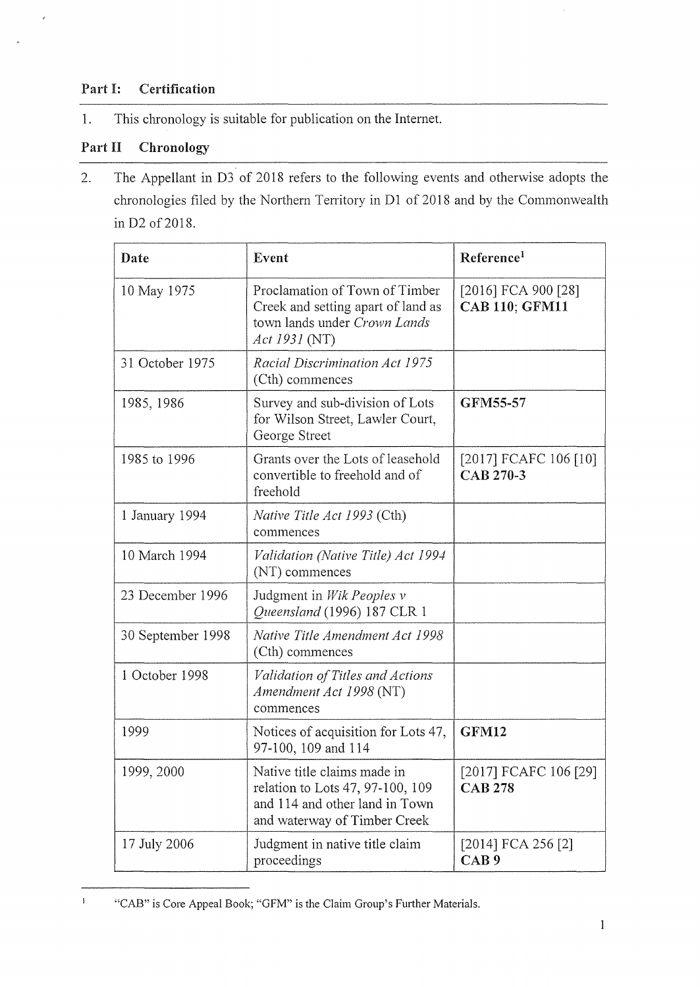## Part I: Certification

 $\epsilon$ 

1. This chronology is suitable for publication on the Internet.

## Part II Chronology

2. The Appellant in D3 of 2018 refers to the following events and otherwise adopts the chronologies filed by the Northern Territory in D1 of 2018 and by the Commonwealth in D2 of 2018.

| Date              | Event                                                                                                                             | Reference <sup>1</sup>                       |
|-------------------|-----------------------------------------------------------------------------------------------------------------------------------|----------------------------------------------|
| 10 May 1975       | Proclamation of Town of Timber<br>Creek and setting apart of land as<br>town lands under Crown Lands<br>Act 1931 (NT)             | [2016] FCA 900 [28]<br><b>CAB 110; GFM11</b> |
| 31 October 1975   | Racial Discrimination Act 1975<br>(Cth) commences                                                                                 |                                              |
| 1985, 1986        | Survey and sub-division of Lots<br>for Wilson Street, Lawler Court,<br>George Street                                              | GFM55-57                                     |
| 1985 to 1996      | Grants over the Lots of leasehold<br>convertible to freehold and of<br>freehold                                                   | [2017] FCAFC 106 [10]<br>CAB 270-3           |
| 1 January 1994    | <i>Native Title Act 1993</i> (Cth)<br>commences                                                                                   |                                              |
| 10 March 1994     | Validation (Native Title) Act 1994<br>(NT) commences                                                                              |                                              |
| 23 December 1996  | Judgment in Wik Peoples v<br>Queensland (1996) 187 CLR 1                                                                          |                                              |
| 30 September 1998 | Native Title Amendment Act 1998<br>(Cth) commences                                                                                |                                              |
| 1 October 1998    | Validation of Titles and Actions<br>Amendment Act 1998 (NT)<br>commences                                                          |                                              |
| 1999              | Notices of acquisition for Lots 47,<br>97-100, 109 and 114                                                                        | GFM12                                        |
| 1999, 2000        | Native title claims made in<br>relation to Lots 47, 97-100, 109<br>and 114 and other land in Town<br>and waterway of Timber Creek | [2017] FCAFC 106 [29]<br><b>CAB 278</b>      |
| 17 July 2006      | Judgment in native title claim<br>proceedings                                                                                     | [2014] FCA 256 [2]<br>CAB <sub>9</sub>       |

<sup>&</sup>quot;CAB" is Core Appeal Book; "GFM" is the Claim Group's Further Materials.

 $\bf{1}$